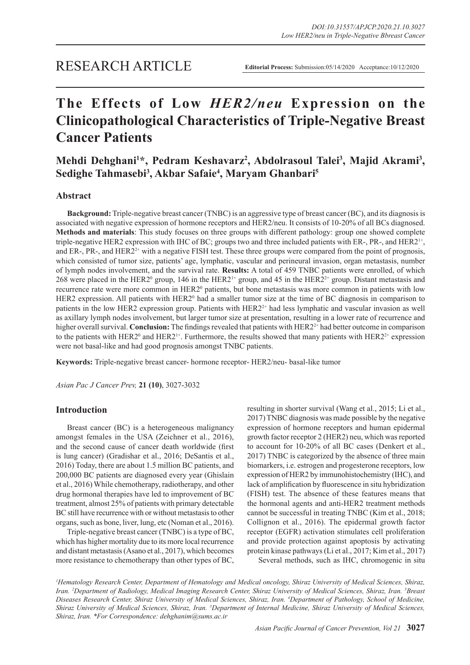## RESEARCH ARTICLE

# **The Effects of Low** *HER2/neu* **Expression on the Clinicopathological Characteristics of Triple-Negative Breast Cancer Patients**

Mehdi Dehghani<sup>1\*</sup>, Pedram Keshavarz<sup>2</sup>, Abdolrasoul Talei<sup>3</sup>, Majid Akrami<sup>3</sup>, **Sedighe Tahmasebi3 , Akbar Safaie4 , Maryam Ghanbari5**

## **Abstract**

**Background:** Triple-negative breast cancer (TNBC) is an aggressive type of breast cancer (BC), and its diagnosis is associated with negative expression of hormone receptors and HER2/neu. It consists of 10-20% of all BCs diagnosed. **Methods and materials**: This study focuses on three groups with different pathology: group one showed complete triple-negative HER2 expression with IHC of BC; groups two and three included patients with ER-, PR-, and HER2<sup>1+</sup>, and ER-, PR-, and HER2<sup>2+</sup> with a negative FISH test. These three groups were compared from the point of prognosis, which consisted of tumor size, patients' age, lymphatic, vascular and perineural invasion, organ metastasis, number of lymph nodes involvement, and the survival rate. **Results:** A total of 459 TNBC patients were enrolled, of which 268 were placed in the HER2<sup>0</sup> group, 146 in the HER2<sup>1+</sup> group, and 45 in the HER2<sup>2+</sup> group. Distant metastasis and recurrence rate were more common in HER2<sup>0</sup> patients, but bone metastasis was more common in patients with low HER2 expression. All patients with HER2<sup>0</sup> had a smaller tumor size at the time of BC diagnosis in comparison to patients in the low HER2 expression group. Patients with HER2<sup>2+</sup> had less lymphatic and vascular invasion as well as axillary lymph nodes involvement, but larger tumor size at presentation, resulting in a lower rate of recurrence and higher overall survival. **Conclusion:** The findings revealed that patients with HER2<sup>2+</sup> had better outcome in comparison to the patients with HER2<sup>0</sup> and HER2<sup>1+</sup>. Furthermore, the results showed that many patients with HER2<sup>2+</sup> expression were not basal-like and had good prognosis amongst TNBC patients.

**Keywords:** Triple-negative breast cancer- hormone receptor- HER2/neu- basal-like tumor

*Asian Pac J Cancer Prev,* **21 (10)**, 3027-3032

## **Introduction**

Breast cancer (BC) is a heterogeneous malignancy amongst females in the USA (Zeichner et al., 2016), and the second cause of cancer death worldwide (first is lung cancer) (Gradishar et al., 2016; DeSantis et al., 2016) Today, there are about 1.5 million BC patients, and 200,000 BC patients are diagnosed every year (Ghislain et al., 2016) While chemotherapy, radiotherapy, and other drug hormonal therapies have led to improvement of BC treatment, almost 25% of patients with primary detectable BC still have recurrence with or without metastasis to other organs, such as bone, liver, lung, etc (Noman et al., 2016).

Triple-negative breast cancer (TNBC) is a type of BC, which has higher mortality due to its more local recurrence and distant metastasis (Asano et al., 2017), which becomes more resistance to chemotherapy than other types of BC, resulting in shorter survival (Wang et al., 2015; Li et al., 2017) TNBC diagnosis was made possible by the negative expression of hormone receptors and human epidermal growth factor receptor 2 (HER2) neu, which was reported to account for 10-20% of all BC cases (Denkert et al., 2017) TNBC is categorized by the absence of three main biomarkers, i.e. estrogen and progesterone receptors, low expression of HER2 by immunohistochemistry (IHC), and lack of amplification by fluorescence in situ hybridization (FISH) test. The absence of these features means that the hormonal agents and anti-HER2 treatment methods cannot be successful in treating TNBC (Kim et al., 2018; Collignon et al., 2016). The epidermal growth factor receptor (EGFR) activation stimulates cell proliferation and provide protection against apoptosis by activating protein kinase pathways (Li et al., 2017; Kim et al., 2017) Several methods, such as IHC, chromogenic in situ

*1 Hematology Research Center, Department of Hematology and Medical oncology, Shiraz University of Medical Sciences, Shiraz, Iran. 2 Department of Radiology, Medical Imaging Research Center, Shiraz University of Medical Sciences, Shiraz, Iran. 3 Breast Diseases Research Center, Shiraz University of Medical Sciences, Shiraz, Iran. 4 Department of Pathology, School of Medicine, Shiraz University of Medical Sciences, Shiraz, Iran. 5 Department of Internal Medicine, Shiraz University of Medical Sciences, Shiraz, Iran. \*For Correspondence: dehghanim@sums.ac.ir*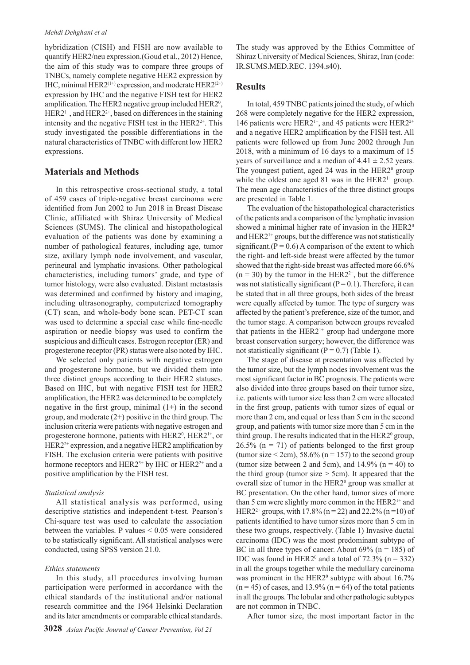#### *Mehdi Dehghani et al*

hybridization (CISH) and FISH are now available to quantify HER2/neu expression.(Goud et al., 2012) Hence, the aim of this study was to compare three groups of TNBCs, namely complete negative HER2 expression by IHC, minimal HER2 $(1+1)$  expression, and moderate HER2 $(2+1)$ expression by IHC and the negative FISH test for HER2 amplification. The HER2 negative group included HER2<sup>0</sup>,  $HER2<sup>1+</sup>$ , and  $HER2<sup>2+</sup>$ , based on differences in the staining intensity and the negative FISH test in the  $HER2<sup>2+</sup>$ . This study investigated the possible differentiations in the natural characteristics of TNBC with different low HER2 expressions.

## **Materials and Methods**

In this retrospective cross-sectional study, a total of 459 cases of triple-negative breast carcinoma were identified from Jun 2002 to Jun 2018 in Breast Disease Clinic, affiliated with Shiraz University of Medical Sciences (SUMS). The clinical and histopathological evaluation of the patients was done by examining a number of pathological features, including age, tumor size, axillary lymph node involvement, and vascular, perineural and lymphatic invasions. Other pathological characteristics, including tumors' grade, and type of tumor histology, were also evaluated. Distant metastasis was determined and confirmed by history and imaging, including ultrasonography, computerized tomography (CT) scan, and whole-body bone scan. PET-CT scan was used to determine a special case while fine-needle aspiration or needle biopsy was used to confirm the suspicious and difficult cases. Estrogen receptor (ER) and progesterone receptor (PR) status were also noted by IHC.

We selected only patients with negative estrogen and progesterone hormone, but we divided them into three distinct groups according to their HER2 statuses. Based on IHC, but with negative FISH test for HER2 amplification, the HER2 was determined to be completely negative in the first group, minimal  $(1+)$  in the second group, and moderate  $(2+)$  positive in the third group. The inclusion criteria were patients with negative estrogen and progesterone hormone, patients with HER2<sup>0</sup>, HER2<sup>1+</sup>, or  $HER2<sup>2+</sup> expression, and a negative HER2 amplitude$ FISH. The exclusion criteria were patients with positive hormone receptors and HER2<sup>3+</sup> by IHC or HER2<sup>2+</sup> and a positive amplification by the FISH test.

#### *Statistical analysis*

All statistical analysis was performed, using descriptive statistics and independent t-test. Pearson's Chi-square test was used to calculate the association between the variables. P values < 0.05 were considered to be statistically significant. All statistical analyses were conducted, using SPSS version 21.0.

#### *Ethics statements*

In this study, all procedures involving human participation were performed in accordance with the ethical standards of the institutional and/or national research committee and the 1964 Helsinki Declaration and its later amendments or comparable ethical standards. The study was approved by the Ethics Committee of Shiraz University of Medical Sciences, Shiraz, Iran (code: IR.SUMS.MED.REC. 1394.s40).

## **Results**

In total, 459 TNBC patients joined the study, of which 268 were completely negative for the HER2 expression, 146 patients were HER2<sup>1+</sup>, and 45 patients were HER2<sup>2+</sup> and a negative HER2 amplification by the FISH test. All patients were followed up from June 2002 through Jun 2018, with a minimum of 16 days to a maximum of 15 years of surveillance and a median of  $4.41 \pm 2.52$  years. The youngest patient, aged  $24$  was in the HER $2^{\circ}$  group while the oldest one aged 81 was in the  $HER2<sup>1+</sup>$  group. The mean age characteristics of the three distinct groups are presented in Table 1.

The evaluation of the histopathological characteristics of the patients and a comparison of the lymphatic invasion showed a minimal higher rate of invasion in the HER2<sup>0</sup> and HER21+ groups, but the difference was not statistically significant.( $P = 0.6$ ) A comparison of the extent to which the right- and left-side breast were affected by the tumor showed that the right-side breast was affected more 66.6%  $(n = 30)$  by the tumor in the HER2<sup>2+</sup>, but the difference was not statistically significant ( $P = 0.1$ ). Therefore, it can be stated that in all three groups, both sides of the breast were equally affected by tumor. The type of surgery was affected by the patient's preference, size of the tumor, and the tumor stage. A comparison between groups revealed that patients in the  $HER2<sup>1+</sup>$  group had undergone more breast conservation surgery; however, the difference was not statistically significant  $(P = 0.7)$  (Table 1).

The stage of disease at presentation was affected by the tumor size, but the lymph nodes involvement was the most significant factor in BC prognosis. The patients were also divided into three groups based on their tumor size, i.e. patients with tumor size less than 2 cm were allocated in the first group, patients with tumor sizes of equal or more than 2 cm, and equal or less than 5 cm in the second group, and patients with tumor size more than 5 cm in the third group. The results indicated that in the HER2<sup>0</sup> group,  $26.5\%$  (n = 71) of patients belonged to the first group (tumor size  $\leq 2$ cm), 58.6% (n = 157) to the second group (tumor size between 2 and 5cm), and  $14.9\%$  (n = 40) to the third group (tumor size  $>$  5cm). It appeared that the overall size of tumor in the HER2<sup>0</sup> group was smaller at BC presentation. On the other hand, tumor sizes of more than 5 cm were slightly more common in the  $HER2<sup>1+</sup>$  and HER2<sup>2+</sup> groups, with 17.8% (n = 22) and 22.2% (n = 10) of patients identified to have tumor sizes more than 5 cm in these two groups, respectively. (Table 1) Invasive ductal carcinoma (IDC) was the most predominant subtype of BC in all three types of cancer. About  $69\%$  (n = 185) of IDC was found in HER2<sup>0</sup> and a total of  $72.3\%$  (n = 332) in all the groups together while the medullary carcinoma was prominent in the HER2 $<sup>0</sup>$  subtype with about 16.7%</sup>  $(n = 45)$  of cases, and 13.9%  $(n = 64)$  of the total patients in all the groups. The lobular and other pathologic subtypes are not common in TNBC.

After tumor size, the most important factor in the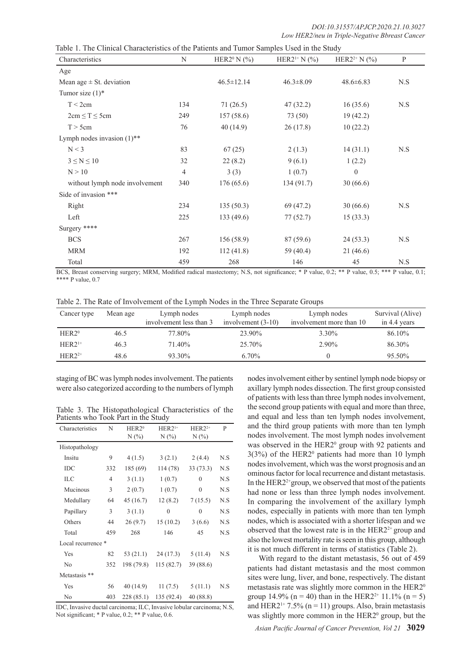| Characteristics                          | N   | HER2 <sup>0</sup> N $(\% )$ | HER2 <sup>1+</sup> N $(\% )$ | HER2 <sup>2+</sup> N $(\%)$ | P   |  |
|------------------------------------------|-----|-----------------------------|------------------------------|-----------------------------|-----|--|
| Age                                      |     |                             |                              |                             |     |  |
| Mean age $\pm$ St. deviation             |     | $46.5 \pm 12.14$            | $46.3 \pm 8.09$              | $48.6 \pm 6.83$             | N.S |  |
| Tumor size $(1)^*$                       |     |                             |                              |                             |     |  |
| T < 2cm                                  | 134 | 71(26.5)                    | 47(32.2)                     | 16(35.6)                    | N.S |  |
| $2cm \leq T \leq 5cm$                    | 249 | 157(58.6)                   | 73 (50)                      | 19(42.2)                    |     |  |
| T > 5cm                                  | 76  | 40(14.9)                    | 26(17.8)                     | 10(22.2)                    |     |  |
| Lymph nodes invasion $(1)$ <sup>**</sup> |     |                             |                              |                             |     |  |
| N < 3                                    | 83  | 67(25)                      | 2(1.3)                       | 14(31.1)                    | N.S |  |
| $3 \le N \le 10$                         | 32  | 22(8.2)                     | 9(6.1)                       | 1(2.2)                      |     |  |
| N > 10                                   | 4   | 3(3)                        | 1(0.7)                       | $\theta$                    |     |  |
| without lymph node involvement           | 340 | 176(65.6)                   | 134(91.7)                    | 30(66.6)                    |     |  |
| Side of invasion ***                     |     |                             |                              |                             |     |  |
| Right                                    | 234 | 135(50.3)                   | 69 (47.2)                    | 30(66.6)                    | N.S |  |
| Left                                     | 225 | 133(49.6)                   | 77(52.7)                     | 15(33.3)                    |     |  |
| Surgery ****                             |     |                             |                              |                             |     |  |
| <b>BCS</b>                               | 267 | 156(58.9)                   | 87 (59.6)                    | 24(53.3)                    | N.S |  |
| <b>MRM</b>                               | 192 | 112(41.8)                   | 59 (40.4)                    | 21(46.6)                    |     |  |
| Total                                    | 459 | 268                         | 146                          | 45                          | N.S |  |

BCS, Breast conserving surgery; MRM, Modified radical mastectomy; N.S, not significance; \* P value, 0.2; \*\* P value, 0.5; \*\*\* P value, 0.1; \*\*\*\* P value, 0.7

|  | Table 2. The Rate of Involvement of the Lymph Nodes in the Three Separate Groups |  |  |  |  |
|--|----------------------------------------------------------------------------------|--|--|--|--|
|  |                                                                                  |  |  |  |  |

| Cancer type       | Mean age | Lymph nodes<br>involvement less than 3 | Lymph nodes<br>involvement $(3-10)$ | Lymph nodes<br>involvement more than 10 | Survival (Alive)<br>in 4.4 years |
|-------------------|----------|----------------------------------------|-------------------------------------|-----------------------------------------|----------------------------------|
| HER2 <sup>0</sup> | 46.5     | 77.80%                                 | 23.90%                              | $3.30\%$                                | 86.10%                           |
| $HER21+$          | 46.3     | 71.40%                                 | 25.70%                              | 2.90%                                   | 86.30%                           |
| $HER22+$          | 48.6     | 93.30%                                 | $6.70\%$                            |                                         | 95.50%                           |

staging of BC was lymph nodes involvement. The patients were also categorized according to the numbers of lymph

Table 3. The Histopathological Characteristics of the Patients who Took Part in the Study

| Characteristics    | N              | HER2 <sup>0</sup> | $HER21+$     | $HER22+$     | P   |
|--------------------|----------------|-------------------|--------------|--------------|-----|
|                    |                | $N(\%)$           | $N(\%)$      | N(%          |     |
| Histopathology     |                |                   |              |              |     |
| Insitu             | 9              | 4(1.5)            | 3(2.1)       | 2(4.4)       | N.S |
| IDC                | 332            | 185 (69)          | 114 (78)     | 33(73.3)     | N.S |
| <b>ILC</b>         | $\overline{4}$ | 3(1.1)            | 1(0.7)       | $\theta$     | N.S |
| Mucinous           | 3              | 2(0.7)            | 1(0.7)       | $\mathbf{0}$ | N.S |
| Medullary          | 64             | 45 (16.7)         | 12(8.2)      | 7(15.5)      | N.S |
| Papillary          | 3              | 3(1.1)            | $\mathbf{0}$ | $\mathbf{0}$ | N.S |
| Others             | 44             | 26(9.7)           | 15(10.2)     | 3(6.6)       | N.S |
| Total              | 459            | 268               | 146          | 45           | N.S |
| Local recurrence * |                |                   |              |              |     |
| Yes                | 82             | 53 (21.1)         | 24(17.3)     | 5(11.4)      | N.S |
| N <sub>0</sub>     | 352            | 198 (79.8)        | 115(82.7)    | 39 (88.6)    |     |
| Metastasis **      |                |                   |              |              |     |
| Yes                | 56             | 40 (14.9)         | 11(7.5)      | 5(11.1)      | N.S |
| N <sub>0</sub>     | 403            | 228(85.1)         | 135 (92.4)   | 40 (88.8)    |     |

IDC, Invasive ductal carcinoma; ILC, Invasive lobular carcinoma; N.S, Not significant; \* P value, 0.2; \*\* P value, 0.6.

nodes involvement either by sentinel lymph node biopsy or axillary lymph nodes dissection. The first group consisted of patients with less than three lymph nodes involvement, the second group patients with equal and more than three, and equal and less than ten lymph nodes involvement, and the third group patients with more than ten lymph nodes involvement. The most lymph nodes involvement was observed in the HER2<sup>0</sup> group with 92 patients and  $3(3%)$  of the HER2<sup>0</sup> patients had more than 10 lymph nodes involvement, which was the worst prognosis and an ominous factor for local recurrence and distant metastasis. In the HER2<sup>2+</sup>group, we observed that most of the patients had none or less than three lymph nodes involvement. In comparing the involvement of the axillary lymph nodes, especially in patients with more than ten lymph nodes, which is associated with a shorter lifespan and we observed that the lowest rate is in the HER2<sup>2+</sup> group and also the lowest mortality rate is seen in this group, although it is not much different in terms of statistics (Table 2).

With regard to the distant metastasis, 56 out of 459 patients had distant metastasis and the most common sites were lung, liver, and bone, respectively. The distant metastasis rate was slightly more common in the HER2<sup>0</sup> group 14.9% (n = 40) than in the HER2<sup>2+</sup> 11.1% (n = 5) and HER2<sup>1+</sup> 7.5% (n = 11) groups. Also, brain metastasis was slightly more common in the HER2<sup>0</sup> group, but the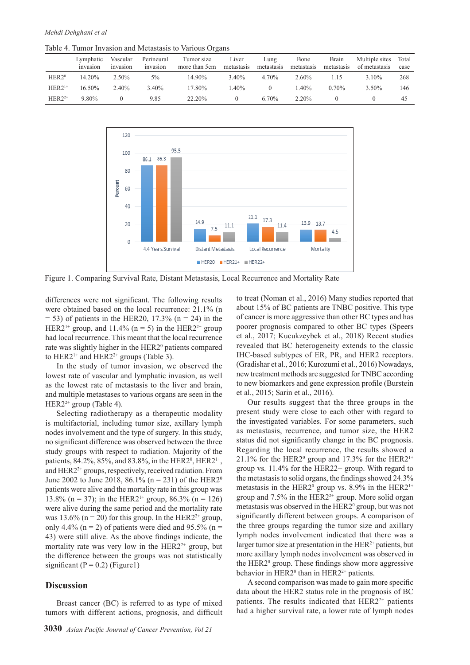Table 4. Tumor Invasion and Metastasis to Various Organs

|                   | Lymphatic<br>invasion | Vascular<br>invasion | Perineural<br>invasion | Tumor size<br>more than 5cm | Liver<br>metastasis | Lung<br>metastasis | Bone<br>metastasis | Brain<br>metastasis | Multiple sites<br>of metastasis | Total<br>case |
|-------------------|-----------------------|----------------------|------------------------|-----------------------------|---------------------|--------------------|--------------------|---------------------|---------------------------------|---------------|
| HER2 <sup>0</sup> | 14.20%                | 2.50%                | 5%                     | 14.90%                      | 3.40%               | 4.70%              | 2.60%              | .15                 | $3.10\%$                        | 268           |
| $HER21+$          | $16.50\%$             | 2.40%                | 3.40%                  | 17.80%                      | $1.40\%$            |                    | $.40\%$            | $0.70\%$            | 3.50%                           | 146           |
| $HER22+$          | 9.80%                 |                      | 9.85                   | 22.20%                      |                     | $6.70\%$           | 2.20%              |                     |                                 | 45            |



Figure 1. Comparing Survival Rate, Distant Metastasis, Local Recurrence and Mortality Rate

differences were not significant. The following results were obtained based on the local recurrence: 21.1% (n  $= 53$ ) of patients in the HER20, 17.3% (n  $= 24$ ) in the HER2<sup>1+</sup> group, and 11.4% (n = 5) in the HER2<sup>2+</sup> group had local recurrence. This meant that the local recurrence rate was slightly higher in the HER2<sup>0</sup> patients compared to HER2<sup>1+</sup> and HER2<sup>2+</sup> groups (Table 3).

In the study of tumor invasion, we observed the lowest rate of vascular and lymphatic invasion, as well as the lowest rate of metastasis to the liver and brain, and multiple metastases to various organs are seen in the HER2<sup>2+</sup> group (Table 4).

Selecting radiotherapy as a therapeutic modality is multifactorial, including tumor size, axillary lymph nodes involvement and the type of surgery. In this study, no significant difference was observed between the three study groups with respect to radiation. Majority of the patients, 84.2%, 85%, and 83.8%, in the HER2<sup>0</sup>, HER2<sup>1+</sup>, and HER2<sup>2+</sup> groups, respectively, received radiation. From June 2002 to June 2018,  $86.1\%$  (n = 231) of the HER2<sup>0</sup> patients were alive and the mortality rate in this group was 13.8% (n = 37); in the HER2<sup>1+</sup> group, 86.3% (n = 126) were alive during the same period and the mortality rate was 13.6% (n = 20) for this group. In the HER2<sup>2+</sup> group, only 4.4% ( $n = 2$ ) of patients were died and 95.5% ( $n =$ 43) were still alive. As the above findings indicate, the mortality rate was very low in the  $HER2<sup>2+</sup>$  group, but the difference between the groups was not statistically significant ( $P = 0.2$ ) (Figure1)

## **Discussion**

Breast cancer (BC) is referred to as type of mixed tumors with different actions, prognosis, and difficult to treat (Noman et al., 2016) Many studies reported that about 15% of BC patients are TNBC positive. This type of cancer is more aggressive than other BC types and has poorer prognosis compared to other BC types (Speers et al., 2017; Kucukzeybek et al., 2018) Recent studies revealed that BC heterogeneity extends to the classic IHC-based subtypes of ER, PR, and HER2 receptors. (Gradishar et al., 2016; Kurozumi et al., 2016) Nowadays, new treatment methods are suggested for TNBC according to new biomarkers and gene expression profile (Burstein et al., 2015; Sarin et al., 2016).

Our results suggest that the three groups in the present study were close to each other with regard to the investigated variables. For some parameters, such as metastasis, recurrence, and tumor size, the HER2 status did not significantly change in the BC prognosis. Regarding the local recurrence, the results showed a 21.1% for the HER2<sup>0</sup> group and 17.3% for the HER2<sup>1+</sup> group vs. 11.4% for the HER22+ group. With regard to the metastasis to solid organs, the findings showed 24.3% metastasis in the HER2<sup>0</sup> group vs. 8.9% in the HER2<sup>1+</sup> group and  $7.5\%$  in the HER2<sup>2+</sup> group. More solid organ metastasis was observed in the HER2<sup>0</sup> group, but was not significantly different between groups. A comparison of the three groups regarding the tumor size and axillary lymph nodes involvement indicated that there was a larger tumor size at presentation in the  $HER<sup>2+</sup>$  patients, but more axillary lymph nodes involvement was observed in the HER2<sup>0</sup> group. These findings show more aggressive behavior in HER2 $0$  than in HER2 $2$ <sup>+</sup> patients.

A second comparison was made to gain more specific data about the HER2 status role in the prognosis of BC patients. The results indicated that HER2<sup>2+</sup> patients had a higher survival rate, a lower rate of lymph nodes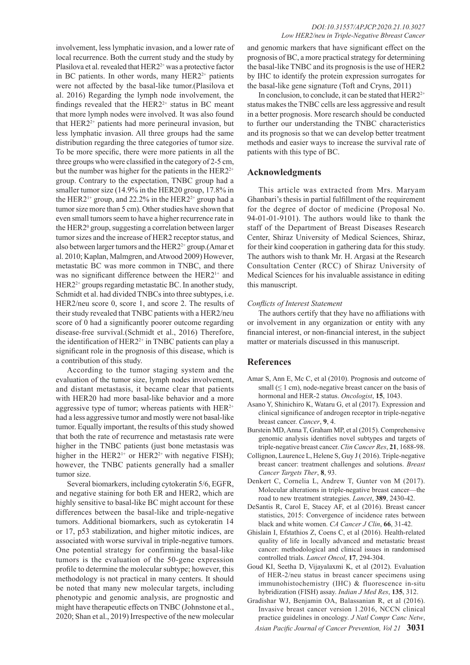involvement, less lymphatic invasion, and a lower rate of local recurrence. Both the current study and the study by Plasilova et al. revealed that HER2<sup>2+</sup> was a protective factor in BC patients. In other words, many  $HER2<sup>2+</sup>$  patients were not affected by the basal-like tumor.(Plasilova et al. 2016) Regarding the lymph node involvement, the findings revealed that the  $HER2<sup>2+</sup>$  status in BC meant that more lymph nodes were involved. It was also found that  $HER2<sup>2+</sup>$  patients had more perineural invasion, but less lymphatic invasion. All three groups had the same distribution regarding the three categories of tumor size. To be more specific, there were more patients in all the three groups who were classified in the category of 2-5 cm, but the number was higher for the patients in the  $HER2^{2+}$ group. Contrary to the expectation, TNBC group had a smaller tumor size (14.9% in the HER20 group, 17.8% in the HER2<sup>1+</sup> group, and 22.2% in the HER2<sup>2+</sup> group had a tumor size more than 5 cm). Other studies have shown that even small tumors seem to have a higher recurrence rate in the HER2<sup>0</sup> group, suggesting a correlation between larger tumor sizes and the increase of HER2 receptor status, and also between larger tumors and the HER2<sup>2+</sup> group.(Amar et al. 2010; Kaplan, Malmgren, and Atwood 2009) However, metastatic BC was more common in TNBC, and there was no significant difference between the HER2<sup>1+</sup> and HER2<sup>2+</sup> groups regarding metastatic BC. In another study, Schmidt et al. had divided TNBCs into three subtypes, i.e. HER2/neu score 0, score 1, and score 2. The results of their study revealed that TNBC patients with a HER2/neu score of 0 had a significantly poorer outcome regarding disease-free survival.(Schmidt et al., 2016) Therefore, the identification of  $HER2<sup>2+</sup>$  in TNBC patients can play a significant role in the prognosis of this disease, which is a contribution of this study.

According to the tumor staging system and the evaluation of the tumor size, lymph nodes involvement, and distant metastasis, it became clear that patients with HER20 had more basal-like behavior and a more aggressive type of tumor; whereas patients with  $HER^{2+}$ had a less aggressive tumor and mostly were not basal-like tumor. Equally important, the results of this study showed that both the rate of recurrence and metastasis rate were higher in the TNBC patients (just bone metastasis was higher in the HER2<sup>1+</sup> or HER2<sup>2+</sup> with negative FISH); however, the TNBC patients generally had a smaller tumor size.

Several biomarkers, including cytokeratin 5/6, EGFR, and negative staining for both ER and HER2, which are highly sensitive to basal-like BC might account for these differences between the basal-like and triple-negative tumors. Additional biomarkers, such as cytokeratin 14 or 17, p53 stabilization, and higher mitotic indices, are associated with worse survival in triple-negative tumors. One potential strategy for confirming the basal-like tumors is the evaluation of the 50-gene expression profile to determine the molecular subtype; however, this methodology is not practical in many centers. It should be noted that many new molecular targets, including phenotypic and genomic analysis, are prognostic and might have therapeutic effects on TNBC (Johnstone et al., 2020; Shan et al., 2019) Irrespective of the new molecular

and genomic markers that have significant effect on the prognosis of BC, a more practical strategy for determining the basal-like TNBC and its prognosis is the use of HER2 by IHC to identify the protein expression surrogates for the basal-like gene signature (Toft and Cryns, 2011)

In conclusion, to conclude, it can be stated that  $HER2<sup>2+</sup>$ status makes the TNBC cells are less aggressive and result in a better prognosis. More research should be conducted to further our understanding the TNBC characteristics and its prognosis so that we can develop better treatment methods and easier ways to increase the survival rate of patients with this type of BC.

## **Acknowledgments**

This article was extracted from Mrs. Maryam Ghanbari's thesis in partial fulfillment of the requirement for the degree of doctor of medicine (Proposal No. 94-01-01-9101). The authors would like to thank the staff of the Department of Breast Diseases Research Center, Shiraz University of Medical Sciences, Shiraz, for their kind cooperation in gathering data for this study. The authors wish to thank Mr. H. Argasi at the Research Consultation Center (RCC) of Shiraz University of Medical Sciences for his invaluable assistance in editing this manuscript.

#### *Conflicts of Interest Statement*

The authors certify that they have no affiliations with or involvement in any organization or entity with any financial interest, or non-financial interest, in the subject matter or materials discussed in this manuscript.

### **References**

- Amar S, Ann E, Mc C, et al (2010). Prognosis and outcome of small  $(\leq 1 \text{ cm})$ , node-negative breast cancer on the basis of hormonal and HER-2 status. *Oncologist*, **15**, 1043.
- Asano Y, Shinichiro K, Wataru G, et al (2017). Expression and clinical significance of androgen receptor in triple-negative breast cancer. *Cancer*, **9**, 4.
- Burstein MD, Anna T, Graham MP, et al (2015). Comprehensive genomic analysis identifies novel subtypes and targets of triple-negative breast cancer. *Clin Cancer Res*, **21**, 1688-98.
- Collignon, Laurence L, Helene S, Guy J ( 2016). Triple-negative breast cancer: treatment challenges and solutions. *Breast Cancer Targets Ther*, **8**, 93.
- Denkert C, Cornelia L, Andrew T, Gunter von M (2017). Molecular alterations in triple-negative breast cancer—the road to new treatment strategies. *Lancet*, **389**, 2430-42.
- DeSantis R, Carol E, Stacey AF, et al (2016). Breast cancer statistics, 2015: Convergence of incidence rates between black and white women. *CA Cancer J Clin*, **66**, 31-42.
- Ghislain I, Efstathios Z, Coens C, et al (2016). Health-related quality of life in locally advanced and metastatic breast cancer: methodological and clinical issues in randomised controlled trials. *Lancet Oncol*, **17**, 294-304.
- Goud KI, Seetha D, Vijayalaxmi K, et al (2012). Evaluation of HER-2/neu status in breast cancer specimens using immunohistochemistry (IHC) & fluorescence in-situ hybridization (FISH) assay. *Indian J Med Res*, **135**, 312.
- Gradishar WJ, Benjamin OA, Balassanian R, et al (2016). Invasive breast cancer version 1.2016, NCCN clinical practice guidelines in oncology. *J Natl Compr Canc Netw*,

*Asian Pacific Journal of Cancer Prevention, Vol 21* **3031**